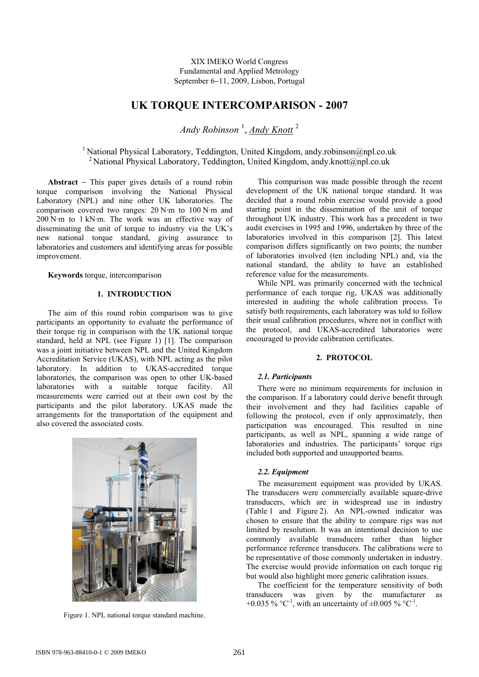XIX IMEKO World Congress Fundamental and Applied Metrology September 6−11, 2009, Lisbon, Portugal

# **UK TORQUE INTERCOMPARISON - 2007**

*Andy Robinson* <sup>1</sup> , *Andy Knott* <sup>2</sup>

<sup>1</sup> National Physical Laboratory, Teddington, United Kingdom, andy.robinson@npl.co.uk <sup>2</sup> National Physical Laboratory, Teddington, United Kingdom, andy.knott@npl.co.uk

**Abstract** − This paper gives details of a round robin torque comparison involving the National Physical Laboratory (NPL) and nine other UK laboratories. The comparison covered two ranges: 20 N·m to 100 N·m and 200 N·m to 1 kN·m. The work was an effective way of disseminating the unit of torque to industry via the UK's new national torque standard, giving assurance to laboratories and customers and identifying areas for possible improvement.

**Keywords** torque, intercomparison

## **1. INTRODUCTION**

The aim of this round robin comparison was to give participants an opportunity to evaluate the performance of their torque rig in comparison with the UK national torque standard, held at NPL (see Figure 1) [1]. The comparison was a joint initiative between NPL and the United Kingdom Accreditation Service (UKAS), with NPL acting as the pilot laboratory. In addition to UKAS-accredited torque laboratories, the comparison was open to other UK-based laboratories with a suitable torque facility. All measurements were carried out at their own cost by the participants and the pilot laboratory. UKAS made the arrangements for the transportation of the equipment and also covered the associated costs.



Figure 1. NPL national torque standard machine.

This comparison was made possible through the recent development of the UK national torque standard. It was decided that a round robin exercise would provide a good starting point in the dissemination of the unit of torque throughout UK industry. This work has a precedent in two audit exercises in 1995 and 1996, undertaken by three of the laboratories involved in this comparison [2]. This latest comparison differs significantly on two points; the number of laboratories involved (ten including NPL) and, via the national standard, the ability to have an established reference value for the measurements.

While NPL was primarily concerned with the technical performance of each torque rig, UKAS was additionally interested in auditing the whole calibration process. To satisfy both requirements, each laboratory was told to follow their usual calibration procedures, where not in conflict with the protocol, and UKAS-accredited laboratories were encouraged to provide calibration certificates.

### **2. PROTOCOL**

#### *2.1. Participants*

There were no minimum requirements for inclusion in the comparison. If a laboratory could derive benefit through their involvement and they had facilities capable of following the protocol, even if only approximately, then participation was encouraged. This resulted in nine participants, as well as NPL, spanning a wide range of laboratories and industries. The participants' torque rigs included both supported and unsupported beams.

#### *2.2. Equipment*

The measurement equipment was provided by UKAS. The transducers were commercially available square-drive transducers, which are in widespread use in industry (Table 1 and Figure 2). An NPL-owned indicator was chosen to ensure that the ability to compare rigs was not limited by resolution. It was an intentional decision to use commonly available transducers rather than higher performance reference transducers. The calibrations were to be representative of those commonly undertaken in industry. The exercise would provide information on each torque rig but would also highlight more generic calibration issues.

The coefficient for the temperature sensitivity of both transducers was given by the manufacturer as +0.035 %  $^{\circ}$ C<sup>-1</sup>, with an uncertainty of  $\pm$ 0.005 %  $^{\circ}$ C<sup>-1</sup>.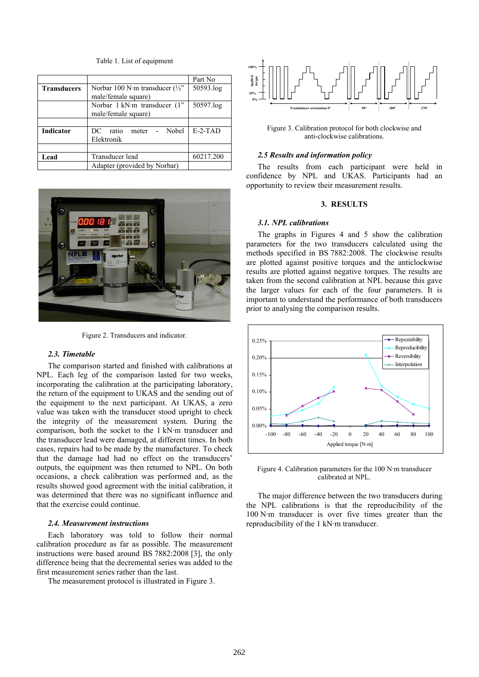Table 1. List of equipment

|                    |                                           | Part No   |
|--------------------|-------------------------------------------|-----------|
| <b>Transducers</b> | Norbar 100 N·m transducer $(\frac{1}{2})$ | 50593.log |
|                    | male/female square)                       |           |
|                    | Norbar 1 kN·m transducer (1"              | 50597.log |
|                    | male/female square)                       |           |
|                    |                                           |           |
| Indicator          | Nobel<br>DC.<br>ratio<br>meter            | $E-2-TAD$ |
|                    | Elektronik                                |           |
|                    |                                           |           |
| Lead               | Transducer lead                           | 60217.200 |
|                    | Adapter (provided by Norbar)              |           |



Figure 2. Transducers and indicator.

#### *2.3. Timetable*

The comparison started and finished with calibrations at NPL. Each leg of the comparison lasted for two weeks, incorporating the calibration at the participating laboratory, the return of the equipment to UKAS and the sending out of the equipment to the next participant. At UKAS, a zero value was taken with the transducer stood upright to check the integrity of the measurement system. During the comparison, both the socket to the 1 kN·m transducer and the transducer lead were damaged, at different times. In both cases, repairs had to be made by the manufacturer. To check that the damage had had no effect on the transducers' outputs, the equipment was then returned to NPL. On both occasions, a check calibration was performed and, as the results showed good agreement with the initial calibration, it was determined that there was no significant influence and that the exercise could continue.

# *2.4. Measurement instructions*

Each laboratory was told to follow their normal calibration procedure as far as possible. The measurement instructions were based around BS 7882:2008 [3], the only difference being that the decremental series was added to the first measurement series rather than the last.

The measurement protocol is illustrated in Figure 3.



Figure 3. Calibration protocol for both clockwise and anti-clockwise calibrations.

### *2.5 Results and information policy*

The results from each participant were held in confidence by NPL and UKAS. Participants had an opportunity to review their measurement results.

### **3. RESULTS**

# *3.1. NPL calibrations*

The graphs in Figures 4 and 5 show the calibration parameters for the two transducers calculated using the methods specified in BS 7882:2008. The clockwise results are plotted against positive torques and the anticlockwise results are plotted against negative torques. The results are taken from the second calibration at NPL because this gave the larger values for each of the four parameters. It is important to understand the performance of both transducers prior to analysing the comparison results.



Figure 4. Calibration parameters for the 100 N·m transducer calibrated at NPL.

The major difference between the two transducers during the NPL calibrations is that the reproducibility of the 100 N·m transducer is over five times greater than the reproducibility of the 1 kN·m transducer.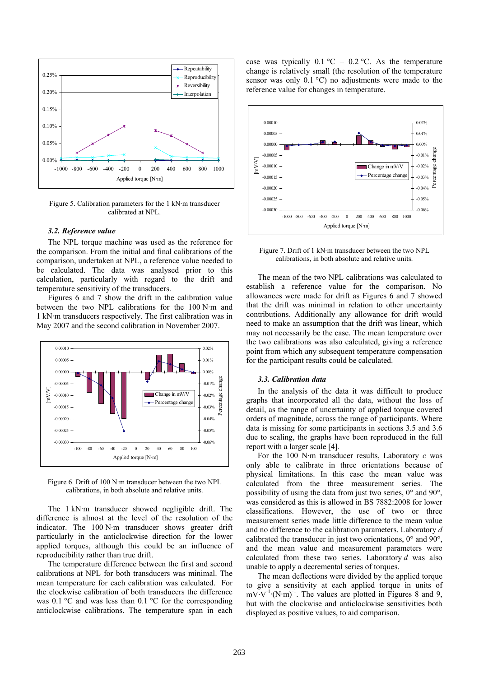

Figure 5. Calibration parameters for the 1 kN·m transducer calibrated at NPL.

#### *3.2. Reference value*

The NPL torque machine was used as the reference for the comparison. From the initial and final calibrations of the comparison, undertaken at NPL, a reference value needed to be calculated. The data was analysed prior to this calculation, particularly with regard to the drift and temperature sensitivity of the transducers.

Figures 6 and 7 show the drift in the calibration value between the two NPL calibrations for the 100 N·m and 1 kN·m transducers respectively. The first calibration was in May 2007 and the second calibration in November 2007.



Figure 6. Drift of 100 N·m transducer between the two NPL calibrations, in both absolute and relative units.

The 1 kN·m transducer showed negligible drift. The difference is almost at the level of the resolution of the indicator. The 100 N·m transducer shows greater drift particularly in the anticlockwise direction for the lower applied torques, although this could be an influence of reproducibility rather than true drift.

The temperature difference between the first and second calibrations at NPL for both transducers was minimal. The mean temperature for each calibration was calculated. For the clockwise calibration of both transducers the difference was  $0.1 \text{ }^{\circ}\text{C}$  and was less than  $0.1 \text{ }^{\circ}\text{C}$  for the corresponding anticlockwise calibrations. The temperature span in each case was typically  $0.1 \, \text{°C} - 0.2 \, \text{°C}$ . As the temperature change is relatively small (the resolution of the temperature sensor was only 0.1 °C) no adjustments were made to the reference value for changes in temperature.



Figure 7. Drift of 1 kN·m transducer between the two NPL calibrations, in both absolute and relative units.

The mean of the two NPL calibrations was calculated to establish a reference value for the comparison. No allowances were made for drift as Figures 6 and 7 showed that the drift was minimal in relation to other uncertainty contributions. Additionally any allowance for drift would need to make an assumption that the drift was linear, which may not necessarily be the case. The mean temperature over the two calibrations was also calculated, giving a reference point from which any subsequent temperature compensation for the participant results could be calculated.

### *3.3. Calibration data*

In the analysis of the data it was difficult to produce graphs that incorporated all the data, without the loss of detail, as the range of uncertainty of applied torque covered orders of magnitude, across the range of participants. Where data is missing for some participants in sections 3.5 and 3.6 due to scaling, the graphs have been reproduced in the full report with a larger scale [4].

For the 100 N·m transducer results, Laboratory *c* was only able to calibrate in three orientations because of physical limitations. In this case the mean value was calculated from the three measurement series. The possibility of using the data from just two series, 0° and 90°, was considered as this is allowed in BS 7882:2008 for lower classifications. However, the use of two or three measurement series made little difference to the mean value and no difference to the calibration parameters. Laboratory *d* calibrated the transducer in just two orientations, 0° and 90°, and the mean value and measurement parameters were calculated from these two series. Laboratory *d* was also unable to apply a decremental series of torques.

The mean deflections were divided by the applied torque to give a sensitivity at each applied torque in units of  $mV\cdot V^{-1}\cdot (N\cdot m)^{-1}$ . The values are plotted in Figures 8 and 9, but with the clockwise and anticlockwise sensitivities both displayed as positive values, to aid comparison.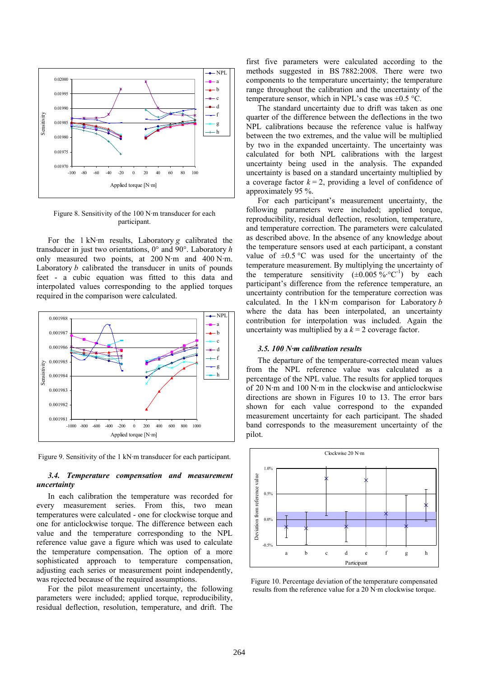

Figure 8. Sensitivity of the 100 N·m transducer for each participant.

For the 1 kN·m results, Laboratory *g* calibrated the transducer in just two orientations, 0° and 90°. Laboratory *h* only measured two points, at 200 N·m and 400 N·m. Laboratory *b* calibrated the transducer in units of pounds feet - a cubic equation was fitted to this data and interpolated values corresponding to the applied torques required in the comparison were calculated.



Figure 9. Sensitivity of the 1 kN·m transducer for each participant.

# *3.4. Temperature compensation and measurement uncertainty*

In each calibration the temperature was recorded for every measurement series. From this, two mean temperatures were calculated - one for clockwise torque and one for anticlockwise torque. The difference between each value and the temperature corresponding to the NPL reference value gave a figure which was used to calculate the temperature compensation. The option of a more sophisticated approach to temperature compensation, adjusting each series or measurement point independently, was rejected because of the required assumptions.

For the pilot measurement uncertainty, the following parameters were included; applied torque, reproducibility, residual deflection, resolution, temperature, and drift. The

first five parameters were calculated according to the methods suggested in BS 7882:2008. There were two components to the temperature uncertainty; the temperature range throughout the calibration and the uncertainty of the temperature sensor, which in NPL's case was  $\pm 0.5$  °C.

The standard uncertainty due to drift was taken as one quarter of the difference between the deflections in the two NPL calibrations because the reference value is halfway between the two extremes, and the value will be multiplied by two in the expanded uncertainty. The uncertainty was calculated for both NPL calibrations with the largest uncertainty being used in the analysis. The expanded uncertainty is based on a standard uncertainty multiplied by a coverage factor  $k = 2$ , providing a level of confidence of approximately 95 %.

For each participant's measurement uncertainty, the following parameters were included; applied torque, reproducibility, residual deflection, resolution, temperature, and temperature correction. The parameters were calculated as described above. In the absence of any knowledge about the temperature sensors used at each participant, a constant value of  $\pm 0.5$  °C was used for the uncertainty of the temperature measurement. By multiplying the uncertainty of the temperature sensitivity  $(\pm 0.005 \degree \text{°C}^{-1})$  by each participant's difference from the reference temperature, an uncertainty contribution for the temperature correction was calculated. In the 1 kN·m comparison for Laboratory *b* where the data has been interpolated, an uncertainty contribution for interpolation was included. Again the uncertainty was multiplied by a  $k = 2$  coverage factor.

# *3.5. 100 N·m calibration results*

The departure of the temperature-corrected mean values from the NPL reference value was calculated as a percentage of the NPL value. The results for applied torques of 20 N·m and 100 N·m in the clockwise and anticlockwise directions are shown in Figures 10 to 13. The error bars shown for each value correspond to the expanded measurement uncertainty for each participant. The shaded band corresponds to the measurement uncertainty of the pilot.



Figure 10. Percentage deviation of the temperature compensated results from the reference value for a 20 N·m clockwise torque.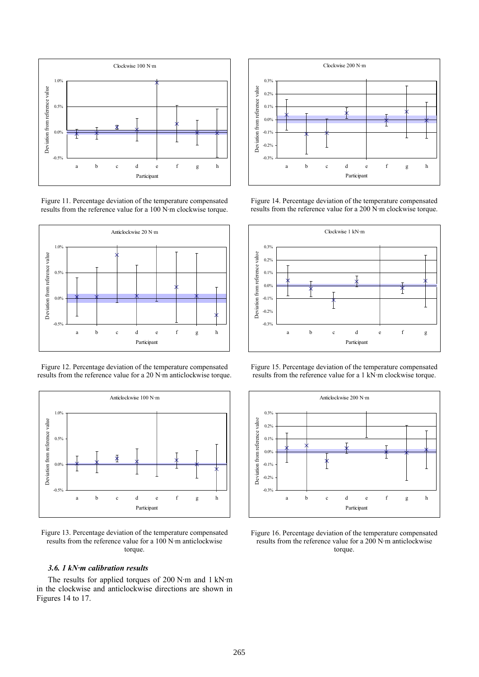

Figure 11. Percentage deviation of the temperature compensated results from the reference value for a 100 N·m clockwise torque.



Figure 12. Percentage deviation of the temperature compensated results from the reference value for a 20 N·m anticlockwise torque.



Figure 13. Percentage deviation of the temperature compensated results from the reference value for a 100 N·m anticlockwise torque.

# *3.6. 1 kN·m calibration results*

The results for applied torques of 200 N·m and 1 kN·m in the clockwise and anticlockwise directions are shown in Figures 14 to 17.



Figure 14. Percentage deviation of the temperature compensated results from the reference value for a 200 N·m clockwise torque.



Figure 15. Percentage deviation of the temperature compensated results from the reference value for a 1 kN·m clockwise torque.



Figure 16. Percentage deviation of the temperature compensated results from the reference value for a 200 N·m anticlockwise torque.